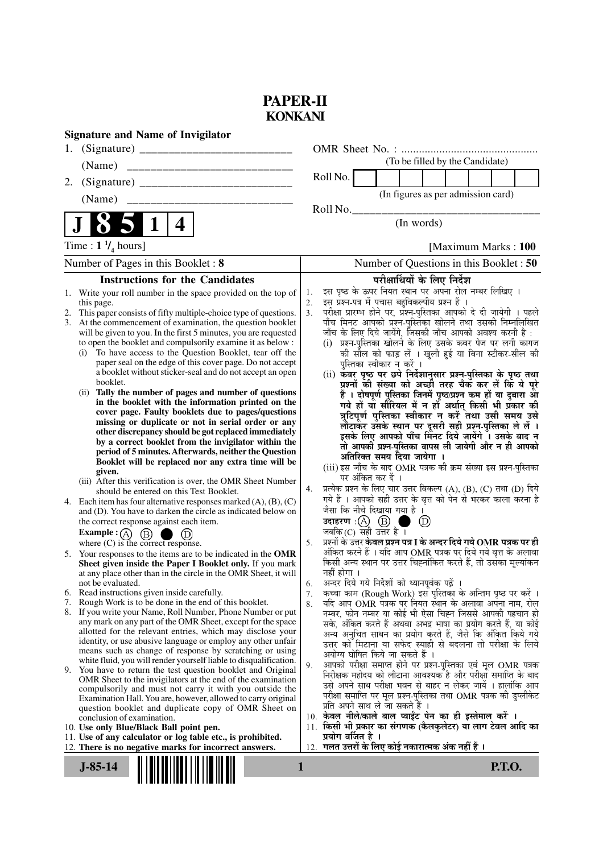## **PAPER-II KONKANI**

| (To be filled by the Candidate)<br>(Name)<br>Roll No.<br>2.<br>(In figures as per admission card)<br>Roll No.<br>$\vert$ 1<br>4<br>(In words)<br>Time : $1 \frac{1}{4}$ hours]<br>[Maximum Marks: 100]<br>Number of Questions in this Booklet: 50<br>Number of Pages in this Booklet: 8<br><b>Instructions for the Candidates</b><br>परीक्षार्थियों के लिए निर्देश<br>इस पृष्ठ के ऊपर नियत स्थान पर अपना रोल नम्बर लिखिए ।<br>Write your roll number in the space provided on the top of<br>1.<br>1.<br>इस प्रश्न-पत्र में पचास बहुविकल्पीय प्रश्न हैं ।<br>2.<br>this page.<br>परीक्षा प्रारम्भ होने पर, प्रश्न-पुस्तिका आपको दे दी जायेगी । पहले<br>3 <sub>1</sub><br>This paper consists of fifty multiple-choice type of questions.<br>2.<br>पाँच मिनट आपको प्रश्न-पुस्तिका खोलने तथा उसकी निम्नलिखित<br>3. At the commencement of examination, the question booklet<br>जाँच के लिए दिये जायेंगे, जिसकी जाँच आपको अवश्य करनी है :<br>will be given to you. In the first 5 minutes, you are requested<br>(i) प्रश्न-पुस्तिका खोलने के लिए उसके कवर पेज पर लगी कागज<br>to open the booklet and compulsorily examine it as below :<br>To have access to the Question Booklet, tear off the<br>की सील को फाड़ लें । खुली हुई या बिना स्टीकर-सील की<br>(i)<br>paper seal on the edge of this cover page. Do not accept<br>पुस्तिका स्वीकार न करें ।<br>a booklet without sticker-seal and do not accept an open<br>(ii) कवर पृष्ठ पर छपे निर्देशानुसार प्रश्न-पुस्तिका के पृष्ठ तथा<br>booklet.<br>प्रश्नों की संख्या को अच्छी तरह चैक कर लें कि ये पूरे<br>(ii) Tally the number of pages and number of questions<br>हैं । दोषपूर्ण पुस्तिका जिनमें पृष्ठ/प्रश्न कम हों या दुबारा आ<br>in the booklet with the information printed on the<br>गये हों या सीरियल में न हों अर्थात् किसी भी प्रकार की<br>cover page. Faulty booklets due to pages/questions<br>missing or duplicate or not in serial order or any<br>लौटाकर उसके स्थान पर दूसरी सही प्रश्न-पुस्तिका ले लें ।<br>इसके लिए आपको पाँच मिनट दिये जायेंगे । उसके बाद न<br>other discrepancy should be got replaced immediately<br>by a correct booklet from the invigilator within the<br>तो आपकी प्रश्न-पुस्तिका वापस ली जायेगी और न ही आपको<br>period of 5 minutes. Afterwards, neither the Question<br>अतिरिक्त समय दिया जायेगा ।<br>Booklet will be replaced nor any extra time will be<br>(iii) इस जाँच के बाद OMR पत्रक की क्रम संख्या इस प्रश्न-पुस्तिका<br>given.<br>पर अंकित कर दें ।<br>(iii) After this verification is over, the OMR Sheet Number<br>प्रत्येक प्रश्न के लिए चार उत्तर विकल्प (A), (B), (C) तथा (D) दिये<br>4.<br>should be entered on this Test Booklet.<br>गये हैं । आपको सही उत्तर के वृत्त को पेन से भरकर काला करना है<br>4. Each item has four alternative responses marked $(A)$ , $(B)$ , $(C)$<br>जैसा कि नीचे दिखाया गया है ।<br>and (D). You have to darken the circle as indicated below on<br>उदाहरण: $\textcircled{A}$ $\textcircled{B}$<br>$\left( D\right)$<br>the correct response against each item.<br>जबकि $(C)$ सही उत्तर है ।<br><b>Example</b> : (A) $(B)$<br>(D)<br>प्रश्नों के उत्तर <b>केवल प्रश्न पत्र I के अन्दर दिये गये OMR पत्रक पर ही</b><br>where (C) is the correct response.<br>5.<br>अंकित करने हैं । यदि आप OMR पत्रक पर दिये गये वृत्त के अलावा<br>5. Your responses to the items are to be indicated in the OMR<br>किसी अन्य स्थान पर उत्तर चिह्नांकित करते हैं, तो उसका मूल्यांकन<br>Sheet given inside the Paper I Booklet only. If you mark<br>नहीं होगा ।<br>at any place other than in the circle in the OMR Sheet, it will<br><br>अन्दर दिये गये निर्देशों को ध्यानपूर्वक पढ़ें ।<br>not be evaluated.<br>6.<br>6. Read instructions given inside carefully.<br>कच्चा काम (Rough Work) इस पुस्तिका के अन्तिम पृष्ठ पर करें ।<br>7.<br>Rough Work is to be done in the end of this booklet.<br>7.<br>र्याद आप OMR पत्रक पर नियत स्थान के अलावा अपना नाम, रोल<br>8.<br>8. If you write your Name, Roll Number, Phone Number or put<br>नम्बर, फोन नम्बर या कोई भी ऐसा चिह्न जिससे आपकी पहचान हो<br>any mark on any part of the OMR Sheet, except for the space<br>सके, अंकित करते हैं अथवा अभद्र भाषा का प्रयोग करते हैं, या कोई<br>allotted for the relevant entries, which may disclose your<br>अन्य अनुचित साधन का प्रयोग करते हैं, जैसे कि अंकित किये गये<br>identity, or use abusive language or employ any other unfair<br>उत्तर को मिटाना या सफेद स्याही से बदलना तो परीक्षा के लिये<br>means such as change of response by scratching or using<br>अयोग्य घोषित किये जा सकते हैं ।<br>white fluid, you will render yourself liable to disqualification.<br>आपको परीक्षा समाप्त होने पर प्रश्न-पुस्तिका एवं मूल OMR पत्रक<br>9.<br>9. You have to return the test question booklet and Original<br>निरीक्षक महोदय को लौटाना आवश्यक है और परीक्षा समाप्ति के बाद<br>OMR Sheet to the invigilators at the end of the examination<br>उसे अपने साथ परीक्षा भवन से बाहर न लेकर जायें । हालांकि आप<br>compulsorily and must not carry it with you outside the<br>परीक्षा समाप्ति पर मूल प्रश्न-पुस्तिका तथा OMR पत्रक की डुप्लीकेट<br>Examination Hall. You are, however, allowed to carry original<br>प्रति अपने साथ ले जा सकते हैं ।<br>question booklet and duplicate copy of OMR Sheet on<br>10. केवल नीले/काले बाल प्वाईंट पेन का ही इस्तेमाल करें ।<br>conclusion of examination.<br>11. किसी भी प्रकार का संगणक (कैलकुलेटर) या लाग टेबल आदि का<br>10. Use only Blue/Black Ball point pen.<br>प्रयोग वर्जित है ।<br>11. Use of any calculator or log table etc., is prohibited.<br>गलत उत्तरों के लिए कोई नकारात्मक अंक नहीं हैं ।<br>12. There is no negative marks for incorrect answers.<br>12.<br>$J-85-14$<br><b>P.T.O.</b><br>1 | <b>Signature and Name of Invigilator</b> |  |  |  |  |
|-------------------------------------------------------------------------------------------------------------------------------------------------------------------------------------------------------------------------------------------------------------------------------------------------------------------------------------------------------------------------------------------------------------------------------------------------------------------------------------------------------------------------------------------------------------------------------------------------------------------------------------------------------------------------------------------------------------------------------------------------------------------------------------------------------------------------------------------------------------------------------------------------------------------------------------------------------------------------------------------------------------------------------------------------------------------------------------------------------------------------------------------------------------------------------------------------------------------------------------------------------------------------------------------------------------------------------------------------------------------------------------------------------------------------------------------------------------------------------------------------------------------------------------------------------------------------------------------------------------------------------------------------------------------------------------------------------------------------------------------------------------------------------------------------------------------------------------------------------------------------------------------------------------------------------------------------------------------------------------------------------------------------------------------------------------------------------------------------------------------------------------------------------------------------------------------------------------------------------------------------------------------------------------------------------------------------------------------------------------------------------------------------------------------------------------------------------------------------------------------------------------------------------------------------------------------------------------------------------------------------------------------------------------------------------------------------------------------------------------------------------------------------------------------------------------------------------------------------------------------------------------------------------------------------------------------------------------------------------------------------------------------------------------------------------------------------------------------------------------------------------------------------------------------------------------------------------------------------------------------------------------------------------------------------------------------------------------------------------------------------------------------------------------------------------------------------------------------------------------------------------------------------------------------------------------------------------------------------------------------------------------------------------------------------------------------------------------------------------------------------------------------------------------------------------------------------------------------------------------------------------------------------------------------------------------------------------------------------------------------------------------------------------------------------------------------------------------------------------------------------------------------------------------------------------------------------------------------------------------------------------------------------------------------------------------------------------------------------------------------------------------------------------------------------------------------------------------------------------------------------------------------------------------------------------------------------------------------------------------------------------------------------------------------------------------------------------------------------------------------------------------------------------------------------------------------------------------------------------------------------------------------------------------------------------------------------------------------------------------------------------------------------------------------------------------------------------------------------------------------------------------------------------------------------------------------------------------------------------------------------------------------------------------------------------------------------------------------------------------------------------------------------------------------------------------------------------------------------------------------------------------------------------------------------------------------------------------------------------------------------------------------------------------------------|------------------------------------------|--|--|--|--|
| त्रुटिपूर्ण पुस्तिका स्वीकार न करें तथा उसी समय उसे                                                                                                                                                                                                                                                                                                                                                                                                                                                                                                                                                                                                                                                                                                                                                                                                                                                                                                                                                                                                                                                                                                                                                                                                                                                                                                                                                                                                                                                                                                                                                                                                                                                                                                                                                                                                                                                                                                                                                                                                                                                                                                                                                                                                                                                                                                                                                                                                                                                                                                                                                                                                                                                                                                                                                                                                                                                                                                                                                                                                                                                                                                                                                                                                                                                                                                                                                                                                                                                                                                                                                                                                                                                                                                                                                                                                                                                                                                                                                                                                                                                                                                                                                                                                                                                                                                                                                                                                                                                                                                                                                                                                                                                                                                                                                                                                                                                                                                                                                                                                                                                                                                                                                                                                                                                                                                                                                                                                                                                                                                                                                                                                                     |                                          |  |  |  |  |
|                                                                                                                                                                                                                                                                                                                                                                                                                                                                                                                                                                                                                                                                                                                                                                                                                                                                                                                                                                                                                                                                                                                                                                                                                                                                                                                                                                                                                                                                                                                                                                                                                                                                                                                                                                                                                                                                                                                                                                                                                                                                                                                                                                                                                                                                                                                                                                                                                                                                                                                                                                                                                                                                                                                                                                                                                                                                                                                                                                                                                                                                                                                                                                                                                                                                                                                                                                                                                                                                                                                                                                                                                                                                                                                                                                                                                                                                                                                                                                                                                                                                                                                                                                                                                                                                                                                                                                                                                                                                                                                                                                                                                                                                                                                                                                                                                                                                                                                                                                                                                                                                                                                                                                                                                                                                                                                                                                                                                                                                                                                                                                                                                                                                         |                                          |  |  |  |  |
|                                                                                                                                                                                                                                                                                                                                                                                                                                                                                                                                                                                                                                                                                                                                                                                                                                                                                                                                                                                                                                                                                                                                                                                                                                                                                                                                                                                                                                                                                                                                                                                                                                                                                                                                                                                                                                                                                                                                                                                                                                                                                                                                                                                                                                                                                                                                                                                                                                                                                                                                                                                                                                                                                                                                                                                                                                                                                                                                                                                                                                                                                                                                                                                                                                                                                                                                                                                                                                                                                                                                                                                                                                                                                                                                                                                                                                                                                                                                                                                                                                                                                                                                                                                                                                                                                                                                                                                                                                                                                                                                                                                                                                                                                                                                                                                                                                                                                                                                                                                                                                                                                                                                                                                                                                                                                                                                                                                                                                                                                                                                                                                                                                                                         |                                          |  |  |  |  |
|                                                                                                                                                                                                                                                                                                                                                                                                                                                                                                                                                                                                                                                                                                                                                                                                                                                                                                                                                                                                                                                                                                                                                                                                                                                                                                                                                                                                                                                                                                                                                                                                                                                                                                                                                                                                                                                                                                                                                                                                                                                                                                                                                                                                                                                                                                                                                                                                                                                                                                                                                                                                                                                                                                                                                                                                                                                                                                                                                                                                                                                                                                                                                                                                                                                                                                                                                                                                                                                                                                                                                                                                                                                                                                                                                                                                                                                                                                                                                                                                                                                                                                                                                                                                                                                                                                                                                                                                                                                                                                                                                                                                                                                                                                                                                                                                                                                                                                                                                                                                                                                                                                                                                                                                                                                                                                                                                                                                                                                                                                                                                                                                                                                                         |                                          |  |  |  |  |
|                                                                                                                                                                                                                                                                                                                                                                                                                                                                                                                                                                                                                                                                                                                                                                                                                                                                                                                                                                                                                                                                                                                                                                                                                                                                                                                                                                                                                                                                                                                                                                                                                                                                                                                                                                                                                                                                                                                                                                                                                                                                                                                                                                                                                                                                                                                                                                                                                                                                                                                                                                                                                                                                                                                                                                                                                                                                                                                                                                                                                                                                                                                                                                                                                                                                                                                                                                                                                                                                                                                                                                                                                                                                                                                                                                                                                                                                                                                                                                                                                                                                                                                                                                                                                                                                                                                                                                                                                                                                                                                                                                                                                                                                                                                                                                                                                                                                                                                                                                                                                                                                                                                                                                                                                                                                                                                                                                                                                                                                                                                                                                                                                                                                         |                                          |  |  |  |  |
|                                                                                                                                                                                                                                                                                                                                                                                                                                                                                                                                                                                                                                                                                                                                                                                                                                                                                                                                                                                                                                                                                                                                                                                                                                                                                                                                                                                                                                                                                                                                                                                                                                                                                                                                                                                                                                                                                                                                                                                                                                                                                                                                                                                                                                                                                                                                                                                                                                                                                                                                                                                                                                                                                                                                                                                                                                                                                                                                                                                                                                                                                                                                                                                                                                                                                                                                                                                                                                                                                                                                                                                                                                                                                                                                                                                                                                                                                                                                                                                                                                                                                                                                                                                                                                                                                                                                                                                                                                                                                                                                                                                                                                                                                                                                                                                                                                                                                                                                                                                                                                                                                                                                                                                                                                                                                                                                                                                                                                                                                                                                                                                                                                                                         |                                          |  |  |  |  |
|                                                                                                                                                                                                                                                                                                                                                                                                                                                                                                                                                                                                                                                                                                                                                                                                                                                                                                                                                                                                                                                                                                                                                                                                                                                                                                                                                                                                                                                                                                                                                                                                                                                                                                                                                                                                                                                                                                                                                                                                                                                                                                                                                                                                                                                                                                                                                                                                                                                                                                                                                                                                                                                                                                                                                                                                                                                                                                                                                                                                                                                                                                                                                                                                                                                                                                                                                                                                                                                                                                                                                                                                                                                                                                                                                                                                                                                                                                                                                                                                                                                                                                                                                                                                                                                                                                                                                                                                                                                                                                                                                                                                                                                                                                                                                                                                                                                                                                                                                                                                                                                                                                                                                                                                                                                                                                                                                                                                                                                                                                                                                                                                                                                                         |                                          |  |  |  |  |
|                                                                                                                                                                                                                                                                                                                                                                                                                                                                                                                                                                                                                                                                                                                                                                                                                                                                                                                                                                                                                                                                                                                                                                                                                                                                                                                                                                                                                                                                                                                                                                                                                                                                                                                                                                                                                                                                                                                                                                                                                                                                                                                                                                                                                                                                                                                                                                                                                                                                                                                                                                                                                                                                                                                                                                                                                                                                                                                                                                                                                                                                                                                                                                                                                                                                                                                                                                                                                                                                                                                                                                                                                                                                                                                                                                                                                                                                                                                                                                                                                                                                                                                                                                                                                                                                                                                                                                                                                                                                                                                                                                                                                                                                                                                                                                                                                                                                                                                                                                                                                                                                                                                                                                                                                                                                                                                                                                                                                                                                                                                                                                                                                                                                         |                                          |  |  |  |  |
|                                                                                                                                                                                                                                                                                                                                                                                                                                                                                                                                                                                                                                                                                                                                                                                                                                                                                                                                                                                                                                                                                                                                                                                                                                                                                                                                                                                                                                                                                                                                                                                                                                                                                                                                                                                                                                                                                                                                                                                                                                                                                                                                                                                                                                                                                                                                                                                                                                                                                                                                                                                                                                                                                                                                                                                                                                                                                                                                                                                                                                                                                                                                                                                                                                                                                                                                                                                                                                                                                                                                                                                                                                                                                                                                                                                                                                                                                                                                                                                                                                                                                                                                                                                                                                                                                                                                                                                                                                                                                                                                                                                                                                                                                                                                                                                                                                                                                                                                                                                                                                                                                                                                                                                                                                                                                                                                                                                                                                                                                                                                                                                                                                                                         |                                          |  |  |  |  |
|                                                                                                                                                                                                                                                                                                                                                                                                                                                                                                                                                                                                                                                                                                                                                                                                                                                                                                                                                                                                                                                                                                                                                                                                                                                                                                                                                                                                                                                                                                                                                                                                                                                                                                                                                                                                                                                                                                                                                                                                                                                                                                                                                                                                                                                                                                                                                                                                                                                                                                                                                                                                                                                                                                                                                                                                                                                                                                                                                                                                                                                                                                                                                                                                                                                                                                                                                                                                                                                                                                                                                                                                                                                                                                                                                                                                                                                                                                                                                                                                                                                                                                                                                                                                                                                                                                                                                                                                                                                                                                                                                                                                                                                                                                                                                                                                                                                                                                                                                                                                                                                                                                                                                                                                                                                                                                                                                                                                                                                                                                                                                                                                                                                                         |                                          |  |  |  |  |
|                                                                                                                                                                                                                                                                                                                                                                                                                                                                                                                                                                                                                                                                                                                                                                                                                                                                                                                                                                                                                                                                                                                                                                                                                                                                                                                                                                                                                                                                                                                                                                                                                                                                                                                                                                                                                                                                                                                                                                                                                                                                                                                                                                                                                                                                                                                                                                                                                                                                                                                                                                                                                                                                                                                                                                                                                                                                                                                                                                                                                                                                                                                                                                                                                                                                                                                                                                                                                                                                                                                                                                                                                                                                                                                                                                                                                                                                                                                                                                                                                                                                                                                                                                                                                                                                                                                                                                                                                                                                                                                                                                                                                                                                                                                                                                                                                                                                                                                                                                                                                                                                                                                                                                                                                                                                                                                                                                                                                                                                                                                                                                                                                                                                         |                                          |  |  |  |  |
|                                                                                                                                                                                                                                                                                                                                                                                                                                                                                                                                                                                                                                                                                                                                                                                                                                                                                                                                                                                                                                                                                                                                                                                                                                                                                                                                                                                                                                                                                                                                                                                                                                                                                                                                                                                                                                                                                                                                                                                                                                                                                                                                                                                                                                                                                                                                                                                                                                                                                                                                                                                                                                                                                                                                                                                                                                                                                                                                                                                                                                                                                                                                                                                                                                                                                                                                                                                                                                                                                                                                                                                                                                                                                                                                                                                                                                                                                                                                                                                                                                                                                                                                                                                                                                                                                                                                                                                                                                                                                                                                                                                                                                                                                                                                                                                                                                                                                                                                                                                                                                                                                                                                                                                                                                                                                                                                                                                                                                                                                                                                                                                                                                                                         |                                          |  |  |  |  |
|                                                                                                                                                                                                                                                                                                                                                                                                                                                                                                                                                                                                                                                                                                                                                                                                                                                                                                                                                                                                                                                                                                                                                                                                                                                                                                                                                                                                                                                                                                                                                                                                                                                                                                                                                                                                                                                                                                                                                                                                                                                                                                                                                                                                                                                                                                                                                                                                                                                                                                                                                                                                                                                                                                                                                                                                                                                                                                                                                                                                                                                                                                                                                                                                                                                                                                                                                                                                                                                                                                                                                                                                                                                                                                                                                                                                                                                                                                                                                                                                                                                                                                                                                                                                                                                                                                                                                                                                                                                                                                                                                                                                                                                                                                                                                                                                                                                                                                                                                                                                                                                                                                                                                                                                                                                                                                                                                                                                                                                                                                                                                                                                                                                                         |                                          |  |  |  |  |
|                                                                                                                                                                                                                                                                                                                                                                                                                                                                                                                                                                                                                                                                                                                                                                                                                                                                                                                                                                                                                                                                                                                                                                                                                                                                                                                                                                                                                                                                                                                                                                                                                                                                                                                                                                                                                                                                                                                                                                                                                                                                                                                                                                                                                                                                                                                                                                                                                                                                                                                                                                                                                                                                                                                                                                                                                                                                                                                                                                                                                                                                                                                                                                                                                                                                                                                                                                                                                                                                                                                                                                                                                                                                                                                                                                                                                                                                                                                                                                                                                                                                                                                                                                                                                                                                                                                                                                                                                                                                                                                                                                                                                                                                                                                                                                                                                                                                                                                                                                                                                                                                                                                                                                                                                                                                                                                                                                                                                                                                                                                                                                                                                                                                         |                                          |  |  |  |  |
|                                                                                                                                                                                                                                                                                                                                                                                                                                                                                                                                                                                                                                                                                                                                                                                                                                                                                                                                                                                                                                                                                                                                                                                                                                                                                                                                                                                                                                                                                                                                                                                                                                                                                                                                                                                                                                                                                                                                                                                                                                                                                                                                                                                                                                                                                                                                                                                                                                                                                                                                                                                                                                                                                                                                                                                                                                                                                                                                                                                                                                                                                                                                                                                                                                                                                                                                                                                                                                                                                                                                                                                                                                                                                                                                                                                                                                                                                                                                                                                                                                                                                                                                                                                                                                                                                                                                                                                                                                                                                                                                                                                                                                                                                                                                                                                                                                                                                                                                                                                                                                                                                                                                                                                                                                                                                                                                                                                                                                                                                                                                                                                                                                                                         |                                          |  |  |  |  |
|                                                                                                                                                                                                                                                                                                                                                                                                                                                                                                                                                                                                                                                                                                                                                                                                                                                                                                                                                                                                                                                                                                                                                                                                                                                                                                                                                                                                                                                                                                                                                                                                                                                                                                                                                                                                                                                                                                                                                                                                                                                                                                                                                                                                                                                                                                                                                                                                                                                                                                                                                                                                                                                                                                                                                                                                                                                                                                                                                                                                                                                                                                                                                                                                                                                                                                                                                                                                                                                                                                                                                                                                                                                                                                                                                                                                                                                                                                                                                                                                                                                                                                                                                                                                                                                                                                                                                                                                                                                                                                                                                                                                                                                                                                                                                                                                                                                                                                                                                                                                                                                                                                                                                                                                                                                                                                                                                                                                                                                                                                                                                                                                                                                                         |                                          |  |  |  |  |
|                                                                                                                                                                                                                                                                                                                                                                                                                                                                                                                                                                                                                                                                                                                                                                                                                                                                                                                                                                                                                                                                                                                                                                                                                                                                                                                                                                                                                                                                                                                                                                                                                                                                                                                                                                                                                                                                                                                                                                                                                                                                                                                                                                                                                                                                                                                                                                                                                                                                                                                                                                                                                                                                                                                                                                                                                                                                                                                                                                                                                                                                                                                                                                                                                                                                                                                                                                                                                                                                                                                                                                                                                                                                                                                                                                                                                                                                                                                                                                                                                                                                                                                                                                                                                                                                                                                                                                                                                                                                                                                                                                                                                                                                                                                                                                                                                                                                                                                                                                                                                                                                                                                                                                                                                                                                                                                                                                                                                                                                                                                                                                                                                                                                         |                                          |  |  |  |  |
|                                                                                                                                                                                                                                                                                                                                                                                                                                                                                                                                                                                                                                                                                                                                                                                                                                                                                                                                                                                                                                                                                                                                                                                                                                                                                                                                                                                                                                                                                                                                                                                                                                                                                                                                                                                                                                                                                                                                                                                                                                                                                                                                                                                                                                                                                                                                                                                                                                                                                                                                                                                                                                                                                                                                                                                                                                                                                                                                                                                                                                                                                                                                                                                                                                                                                                                                                                                                                                                                                                                                                                                                                                                                                                                                                                                                                                                                                                                                                                                                                                                                                                                                                                                                                                                                                                                                                                                                                                                                                                                                                                                                                                                                                                                                                                                                                                                                                                                                                                                                                                                                                                                                                                                                                                                                                                                                                                                                                                                                                                                                                                                                                                                                         |                                          |  |  |  |  |
|                                                                                                                                                                                                                                                                                                                                                                                                                                                                                                                                                                                                                                                                                                                                                                                                                                                                                                                                                                                                                                                                                                                                                                                                                                                                                                                                                                                                                                                                                                                                                                                                                                                                                                                                                                                                                                                                                                                                                                                                                                                                                                                                                                                                                                                                                                                                                                                                                                                                                                                                                                                                                                                                                                                                                                                                                                                                                                                                                                                                                                                                                                                                                                                                                                                                                                                                                                                                                                                                                                                                                                                                                                                                                                                                                                                                                                                                                                                                                                                                                                                                                                                                                                                                                                                                                                                                                                                                                                                                                                                                                                                                                                                                                                                                                                                                                                                                                                                                                                                                                                                                                                                                                                                                                                                                                                                                                                                                                                                                                                                                                                                                                                                                         |                                          |  |  |  |  |
|                                                                                                                                                                                                                                                                                                                                                                                                                                                                                                                                                                                                                                                                                                                                                                                                                                                                                                                                                                                                                                                                                                                                                                                                                                                                                                                                                                                                                                                                                                                                                                                                                                                                                                                                                                                                                                                                                                                                                                                                                                                                                                                                                                                                                                                                                                                                                                                                                                                                                                                                                                                                                                                                                                                                                                                                                                                                                                                                                                                                                                                                                                                                                                                                                                                                                                                                                                                                                                                                                                                                                                                                                                                                                                                                                                                                                                                                                                                                                                                                                                                                                                                                                                                                                                                                                                                                                                                                                                                                                                                                                                                                                                                                                                                                                                                                                                                                                                                                                                                                                                                                                                                                                                                                                                                                                                                                                                                                                                                                                                                                                                                                                                                                         |                                          |  |  |  |  |
|                                                                                                                                                                                                                                                                                                                                                                                                                                                                                                                                                                                                                                                                                                                                                                                                                                                                                                                                                                                                                                                                                                                                                                                                                                                                                                                                                                                                                                                                                                                                                                                                                                                                                                                                                                                                                                                                                                                                                                                                                                                                                                                                                                                                                                                                                                                                                                                                                                                                                                                                                                                                                                                                                                                                                                                                                                                                                                                                                                                                                                                                                                                                                                                                                                                                                                                                                                                                                                                                                                                                                                                                                                                                                                                                                                                                                                                                                                                                                                                                                                                                                                                                                                                                                                                                                                                                                                                                                                                                                                                                                                                                                                                                                                                                                                                                                                                                                                                                                                                                                                                                                                                                                                                                                                                                                                                                                                                                                                                                                                                                                                                                                                                                         |                                          |  |  |  |  |
|                                                                                                                                                                                                                                                                                                                                                                                                                                                                                                                                                                                                                                                                                                                                                                                                                                                                                                                                                                                                                                                                                                                                                                                                                                                                                                                                                                                                                                                                                                                                                                                                                                                                                                                                                                                                                                                                                                                                                                                                                                                                                                                                                                                                                                                                                                                                                                                                                                                                                                                                                                                                                                                                                                                                                                                                                                                                                                                                                                                                                                                                                                                                                                                                                                                                                                                                                                                                                                                                                                                                                                                                                                                                                                                                                                                                                                                                                                                                                                                                                                                                                                                                                                                                                                                                                                                                                                                                                                                                                                                                                                                                                                                                                                                                                                                                                                                                                                                                                                                                                                                                                                                                                                                                                                                                                                                                                                                                                                                                                                                                                                                                                                                                         |                                          |  |  |  |  |
|                                                                                                                                                                                                                                                                                                                                                                                                                                                                                                                                                                                                                                                                                                                                                                                                                                                                                                                                                                                                                                                                                                                                                                                                                                                                                                                                                                                                                                                                                                                                                                                                                                                                                                                                                                                                                                                                                                                                                                                                                                                                                                                                                                                                                                                                                                                                                                                                                                                                                                                                                                                                                                                                                                                                                                                                                                                                                                                                                                                                                                                                                                                                                                                                                                                                                                                                                                                                                                                                                                                                                                                                                                                                                                                                                                                                                                                                                                                                                                                                                                                                                                                                                                                                                                                                                                                                                                                                                                                                                                                                                                                                                                                                                                                                                                                                                                                                                                                                                                                                                                                                                                                                                                                                                                                                                                                                                                                                                                                                                                                                                                                                                                                                         |                                          |  |  |  |  |
|                                                                                                                                                                                                                                                                                                                                                                                                                                                                                                                                                                                                                                                                                                                                                                                                                                                                                                                                                                                                                                                                                                                                                                                                                                                                                                                                                                                                                                                                                                                                                                                                                                                                                                                                                                                                                                                                                                                                                                                                                                                                                                                                                                                                                                                                                                                                                                                                                                                                                                                                                                                                                                                                                                                                                                                                                                                                                                                                                                                                                                                                                                                                                                                                                                                                                                                                                                                                                                                                                                                                                                                                                                                                                                                                                                                                                                                                                                                                                                                                                                                                                                                                                                                                                                                                                                                                                                                                                                                                                                                                                                                                                                                                                                                                                                                                                                                                                                                                                                                                                                                                                                                                                                                                                                                                                                                                                                                                                                                                                                                                                                                                                                                                         |                                          |  |  |  |  |
|                                                                                                                                                                                                                                                                                                                                                                                                                                                                                                                                                                                                                                                                                                                                                                                                                                                                                                                                                                                                                                                                                                                                                                                                                                                                                                                                                                                                                                                                                                                                                                                                                                                                                                                                                                                                                                                                                                                                                                                                                                                                                                                                                                                                                                                                                                                                                                                                                                                                                                                                                                                                                                                                                                                                                                                                                                                                                                                                                                                                                                                                                                                                                                                                                                                                                                                                                                                                                                                                                                                                                                                                                                                                                                                                                                                                                                                                                                                                                                                                                                                                                                                                                                                                                                                                                                                                                                                                                                                                                                                                                                                                                                                                                                                                                                                                                                                                                                                                                                                                                                                                                                                                                                                                                                                                                                                                                                                                                                                                                                                                                                                                                                                                         |                                          |  |  |  |  |
|                                                                                                                                                                                                                                                                                                                                                                                                                                                                                                                                                                                                                                                                                                                                                                                                                                                                                                                                                                                                                                                                                                                                                                                                                                                                                                                                                                                                                                                                                                                                                                                                                                                                                                                                                                                                                                                                                                                                                                                                                                                                                                                                                                                                                                                                                                                                                                                                                                                                                                                                                                                                                                                                                                                                                                                                                                                                                                                                                                                                                                                                                                                                                                                                                                                                                                                                                                                                                                                                                                                                                                                                                                                                                                                                                                                                                                                                                                                                                                                                                                                                                                                                                                                                                                                                                                                                                                                                                                                                                                                                                                                                                                                                                                                                                                                                                                                                                                                                                                                                                                                                                                                                                                                                                                                                                                                                                                                                                                                                                                                                                                                                                                                                         |                                          |  |  |  |  |
|                                                                                                                                                                                                                                                                                                                                                                                                                                                                                                                                                                                                                                                                                                                                                                                                                                                                                                                                                                                                                                                                                                                                                                                                                                                                                                                                                                                                                                                                                                                                                                                                                                                                                                                                                                                                                                                                                                                                                                                                                                                                                                                                                                                                                                                                                                                                                                                                                                                                                                                                                                                                                                                                                                                                                                                                                                                                                                                                                                                                                                                                                                                                                                                                                                                                                                                                                                                                                                                                                                                                                                                                                                                                                                                                                                                                                                                                                                                                                                                                                                                                                                                                                                                                                                                                                                                                                                                                                                                                                                                                                                                                                                                                                                                                                                                                                                                                                                                                                                                                                                                                                                                                                                                                                                                                                                                                                                                                                                                                                                                                                                                                                                                                         |                                          |  |  |  |  |
|                                                                                                                                                                                                                                                                                                                                                                                                                                                                                                                                                                                                                                                                                                                                                                                                                                                                                                                                                                                                                                                                                                                                                                                                                                                                                                                                                                                                                                                                                                                                                                                                                                                                                                                                                                                                                                                                                                                                                                                                                                                                                                                                                                                                                                                                                                                                                                                                                                                                                                                                                                                                                                                                                                                                                                                                                                                                                                                                                                                                                                                                                                                                                                                                                                                                                                                                                                                                                                                                                                                                                                                                                                                                                                                                                                                                                                                                                                                                                                                                                                                                                                                                                                                                                                                                                                                                                                                                                                                                                                                                                                                                                                                                                                                                                                                                                                                                                                                                                                                                                                                                                                                                                                                                                                                                                                                                                                                                                                                                                                                                                                                                                                                                         |                                          |  |  |  |  |
|                                                                                                                                                                                                                                                                                                                                                                                                                                                                                                                                                                                                                                                                                                                                                                                                                                                                                                                                                                                                                                                                                                                                                                                                                                                                                                                                                                                                                                                                                                                                                                                                                                                                                                                                                                                                                                                                                                                                                                                                                                                                                                                                                                                                                                                                                                                                                                                                                                                                                                                                                                                                                                                                                                                                                                                                                                                                                                                                                                                                                                                                                                                                                                                                                                                                                                                                                                                                                                                                                                                                                                                                                                                                                                                                                                                                                                                                                                                                                                                                                                                                                                                                                                                                                                                                                                                                                                                                                                                                                                                                                                                                                                                                                                                                                                                                                                                                                                                                                                                                                                                                                                                                                                                                                                                                                                                                                                                                                                                                                                                                                                                                                                                                         |                                          |  |  |  |  |
|                                                                                                                                                                                                                                                                                                                                                                                                                                                                                                                                                                                                                                                                                                                                                                                                                                                                                                                                                                                                                                                                                                                                                                                                                                                                                                                                                                                                                                                                                                                                                                                                                                                                                                                                                                                                                                                                                                                                                                                                                                                                                                                                                                                                                                                                                                                                                                                                                                                                                                                                                                                                                                                                                                                                                                                                                                                                                                                                                                                                                                                                                                                                                                                                                                                                                                                                                                                                                                                                                                                                                                                                                                                                                                                                                                                                                                                                                                                                                                                                                                                                                                                                                                                                                                                                                                                                                                                                                                                                                                                                                                                                                                                                                                                                                                                                                                                                                                                                                                                                                                                                                                                                                                                                                                                                                                                                                                                                                                                                                                                                                                                                                                                                         |                                          |  |  |  |  |
|                                                                                                                                                                                                                                                                                                                                                                                                                                                                                                                                                                                                                                                                                                                                                                                                                                                                                                                                                                                                                                                                                                                                                                                                                                                                                                                                                                                                                                                                                                                                                                                                                                                                                                                                                                                                                                                                                                                                                                                                                                                                                                                                                                                                                                                                                                                                                                                                                                                                                                                                                                                                                                                                                                                                                                                                                                                                                                                                                                                                                                                                                                                                                                                                                                                                                                                                                                                                                                                                                                                                                                                                                                                                                                                                                                                                                                                                                                                                                                                                                                                                                                                                                                                                                                                                                                                                                                                                                                                                                                                                                                                                                                                                                                                                                                                                                                                                                                                                                                                                                                                                                                                                                                                                                                                                                                                                                                                                                                                                                                                                                                                                                                                                         |                                          |  |  |  |  |
|                                                                                                                                                                                                                                                                                                                                                                                                                                                                                                                                                                                                                                                                                                                                                                                                                                                                                                                                                                                                                                                                                                                                                                                                                                                                                                                                                                                                                                                                                                                                                                                                                                                                                                                                                                                                                                                                                                                                                                                                                                                                                                                                                                                                                                                                                                                                                                                                                                                                                                                                                                                                                                                                                                                                                                                                                                                                                                                                                                                                                                                                                                                                                                                                                                                                                                                                                                                                                                                                                                                                                                                                                                                                                                                                                                                                                                                                                                                                                                                                                                                                                                                                                                                                                                                                                                                                                                                                                                                                                                                                                                                                                                                                                                                                                                                                                                                                                                                                                                                                                                                                                                                                                                                                                                                                                                                                                                                                                                                                                                                                                                                                                                                                         |                                          |  |  |  |  |
|                                                                                                                                                                                                                                                                                                                                                                                                                                                                                                                                                                                                                                                                                                                                                                                                                                                                                                                                                                                                                                                                                                                                                                                                                                                                                                                                                                                                                                                                                                                                                                                                                                                                                                                                                                                                                                                                                                                                                                                                                                                                                                                                                                                                                                                                                                                                                                                                                                                                                                                                                                                                                                                                                                                                                                                                                                                                                                                                                                                                                                                                                                                                                                                                                                                                                                                                                                                                                                                                                                                                                                                                                                                                                                                                                                                                                                                                                                                                                                                                                                                                                                                                                                                                                                                                                                                                                                                                                                                                                                                                                                                                                                                                                                                                                                                                                                                                                                                                                                                                                                                                                                                                                                                                                                                                                                                                                                                                                                                                                                                                                                                                                                                                         |                                          |  |  |  |  |
|                                                                                                                                                                                                                                                                                                                                                                                                                                                                                                                                                                                                                                                                                                                                                                                                                                                                                                                                                                                                                                                                                                                                                                                                                                                                                                                                                                                                                                                                                                                                                                                                                                                                                                                                                                                                                                                                                                                                                                                                                                                                                                                                                                                                                                                                                                                                                                                                                                                                                                                                                                                                                                                                                                                                                                                                                                                                                                                                                                                                                                                                                                                                                                                                                                                                                                                                                                                                                                                                                                                                                                                                                                                                                                                                                                                                                                                                                                                                                                                                                                                                                                                                                                                                                                                                                                                                                                                                                                                                                                                                                                                                                                                                                                                                                                                                                                                                                                                                                                                                                                                                                                                                                                                                                                                                                                                                                                                                                                                                                                                                                                                                                                                                         |                                          |  |  |  |  |
|                                                                                                                                                                                                                                                                                                                                                                                                                                                                                                                                                                                                                                                                                                                                                                                                                                                                                                                                                                                                                                                                                                                                                                                                                                                                                                                                                                                                                                                                                                                                                                                                                                                                                                                                                                                                                                                                                                                                                                                                                                                                                                                                                                                                                                                                                                                                                                                                                                                                                                                                                                                                                                                                                                                                                                                                                                                                                                                                                                                                                                                                                                                                                                                                                                                                                                                                                                                                                                                                                                                                                                                                                                                                                                                                                                                                                                                                                                                                                                                                                                                                                                                                                                                                                                                                                                                                                                                                                                                                                                                                                                                                                                                                                                                                                                                                                                                                                                                                                                                                                                                                                                                                                                                                                                                                                                                                                                                                                                                                                                                                                                                                                                                                         |                                          |  |  |  |  |
|                                                                                                                                                                                                                                                                                                                                                                                                                                                                                                                                                                                                                                                                                                                                                                                                                                                                                                                                                                                                                                                                                                                                                                                                                                                                                                                                                                                                                                                                                                                                                                                                                                                                                                                                                                                                                                                                                                                                                                                                                                                                                                                                                                                                                                                                                                                                                                                                                                                                                                                                                                                                                                                                                                                                                                                                                                                                                                                                                                                                                                                                                                                                                                                                                                                                                                                                                                                                                                                                                                                                                                                                                                                                                                                                                                                                                                                                                                                                                                                                                                                                                                                                                                                                                                                                                                                                                                                                                                                                                                                                                                                                                                                                                                                                                                                                                                                                                                                                                                                                                                                                                                                                                                                                                                                                                                                                                                                                                                                                                                                                                                                                                                                                         |                                          |  |  |  |  |
|                                                                                                                                                                                                                                                                                                                                                                                                                                                                                                                                                                                                                                                                                                                                                                                                                                                                                                                                                                                                                                                                                                                                                                                                                                                                                                                                                                                                                                                                                                                                                                                                                                                                                                                                                                                                                                                                                                                                                                                                                                                                                                                                                                                                                                                                                                                                                                                                                                                                                                                                                                                                                                                                                                                                                                                                                                                                                                                                                                                                                                                                                                                                                                                                                                                                                                                                                                                                                                                                                                                                                                                                                                                                                                                                                                                                                                                                                                                                                                                                                                                                                                                                                                                                                                                                                                                                                                                                                                                                                                                                                                                                                                                                                                                                                                                                                                                                                                                                                                                                                                                                                                                                                                                                                                                                                                                                                                                                                                                                                                                                                                                                                                                                         |                                          |  |  |  |  |
|                                                                                                                                                                                                                                                                                                                                                                                                                                                                                                                                                                                                                                                                                                                                                                                                                                                                                                                                                                                                                                                                                                                                                                                                                                                                                                                                                                                                                                                                                                                                                                                                                                                                                                                                                                                                                                                                                                                                                                                                                                                                                                                                                                                                                                                                                                                                                                                                                                                                                                                                                                                                                                                                                                                                                                                                                                                                                                                                                                                                                                                                                                                                                                                                                                                                                                                                                                                                                                                                                                                                                                                                                                                                                                                                                                                                                                                                                                                                                                                                                                                                                                                                                                                                                                                                                                                                                                                                                                                                                                                                                                                                                                                                                                                                                                                                                                                                                                                                                                                                                                                                                                                                                                                                                                                                                                                                                                                                                                                                                                                                                                                                                                                                         |                                          |  |  |  |  |
|                                                                                                                                                                                                                                                                                                                                                                                                                                                                                                                                                                                                                                                                                                                                                                                                                                                                                                                                                                                                                                                                                                                                                                                                                                                                                                                                                                                                                                                                                                                                                                                                                                                                                                                                                                                                                                                                                                                                                                                                                                                                                                                                                                                                                                                                                                                                                                                                                                                                                                                                                                                                                                                                                                                                                                                                                                                                                                                                                                                                                                                                                                                                                                                                                                                                                                                                                                                                                                                                                                                                                                                                                                                                                                                                                                                                                                                                                                                                                                                                                                                                                                                                                                                                                                                                                                                                                                                                                                                                                                                                                                                                                                                                                                                                                                                                                                                                                                                                                                                                                                                                                                                                                                                                                                                                                                                                                                                                                                                                                                                                                                                                                                                                         |                                          |  |  |  |  |
|                                                                                                                                                                                                                                                                                                                                                                                                                                                                                                                                                                                                                                                                                                                                                                                                                                                                                                                                                                                                                                                                                                                                                                                                                                                                                                                                                                                                                                                                                                                                                                                                                                                                                                                                                                                                                                                                                                                                                                                                                                                                                                                                                                                                                                                                                                                                                                                                                                                                                                                                                                                                                                                                                                                                                                                                                                                                                                                                                                                                                                                                                                                                                                                                                                                                                                                                                                                                                                                                                                                                                                                                                                                                                                                                                                                                                                                                                                                                                                                                                                                                                                                                                                                                                                                                                                                                                                                                                                                                                                                                                                                                                                                                                                                                                                                                                                                                                                                                                                                                                                                                                                                                                                                                                                                                                                                                                                                                                                                                                                                                                                                                                                                                         |                                          |  |  |  |  |
|                                                                                                                                                                                                                                                                                                                                                                                                                                                                                                                                                                                                                                                                                                                                                                                                                                                                                                                                                                                                                                                                                                                                                                                                                                                                                                                                                                                                                                                                                                                                                                                                                                                                                                                                                                                                                                                                                                                                                                                                                                                                                                                                                                                                                                                                                                                                                                                                                                                                                                                                                                                                                                                                                                                                                                                                                                                                                                                                                                                                                                                                                                                                                                                                                                                                                                                                                                                                                                                                                                                                                                                                                                                                                                                                                                                                                                                                                                                                                                                                                                                                                                                                                                                                                                                                                                                                                                                                                                                                                                                                                                                                                                                                                                                                                                                                                                                                                                                                                                                                                                                                                                                                                                                                                                                                                                                                                                                                                                                                                                                                                                                                                                                                         |                                          |  |  |  |  |
|                                                                                                                                                                                                                                                                                                                                                                                                                                                                                                                                                                                                                                                                                                                                                                                                                                                                                                                                                                                                                                                                                                                                                                                                                                                                                                                                                                                                                                                                                                                                                                                                                                                                                                                                                                                                                                                                                                                                                                                                                                                                                                                                                                                                                                                                                                                                                                                                                                                                                                                                                                                                                                                                                                                                                                                                                                                                                                                                                                                                                                                                                                                                                                                                                                                                                                                                                                                                                                                                                                                                                                                                                                                                                                                                                                                                                                                                                                                                                                                                                                                                                                                                                                                                                                                                                                                                                                                                                                                                                                                                                                                                                                                                                                                                                                                                                                                                                                                                                                                                                                                                                                                                                                                                                                                                                                                                                                                                                                                                                                                                                                                                                                                                         |                                          |  |  |  |  |
|                                                                                                                                                                                                                                                                                                                                                                                                                                                                                                                                                                                                                                                                                                                                                                                                                                                                                                                                                                                                                                                                                                                                                                                                                                                                                                                                                                                                                                                                                                                                                                                                                                                                                                                                                                                                                                                                                                                                                                                                                                                                                                                                                                                                                                                                                                                                                                                                                                                                                                                                                                                                                                                                                                                                                                                                                                                                                                                                                                                                                                                                                                                                                                                                                                                                                                                                                                                                                                                                                                                                                                                                                                                                                                                                                                                                                                                                                                                                                                                                                                                                                                                                                                                                                                                                                                                                                                                                                                                                                                                                                                                                                                                                                                                                                                                                                                                                                                                                                                                                                                                                                                                                                                                                                                                                                                                                                                                                                                                                                                                                                                                                                                                                         |                                          |  |  |  |  |
|                                                                                                                                                                                                                                                                                                                                                                                                                                                                                                                                                                                                                                                                                                                                                                                                                                                                                                                                                                                                                                                                                                                                                                                                                                                                                                                                                                                                                                                                                                                                                                                                                                                                                                                                                                                                                                                                                                                                                                                                                                                                                                                                                                                                                                                                                                                                                                                                                                                                                                                                                                                                                                                                                                                                                                                                                                                                                                                                                                                                                                                                                                                                                                                                                                                                                                                                                                                                                                                                                                                                                                                                                                                                                                                                                                                                                                                                                                                                                                                                                                                                                                                                                                                                                                                                                                                                                                                                                                                                                                                                                                                                                                                                                                                                                                                                                                                                                                                                                                                                                                                                                                                                                                                                                                                                                                                                                                                                                                                                                                                                                                                                                                                                         |                                          |  |  |  |  |
|                                                                                                                                                                                                                                                                                                                                                                                                                                                                                                                                                                                                                                                                                                                                                                                                                                                                                                                                                                                                                                                                                                                                                                                                                                                                                                                                                                                                                                                                                                                                                                                                                                                                                                                                                                                                                                                                                                                                                                                                                                                                                                                                                                                                                                                                                                                                                                                                                                                                                                                                                                                                                                                                                                                                                                                                                                                                                                                                                                                                                                                                                                                                                                                                                                                                                                                                                                                                                                                                                                                                                                                                                                                                                                                                                                                                                                                                                                                                                                                                                                                                                                                                                                                                                                                                                                                                                                                                                                                                                                                                                                                                                                                                                                                                                                                                                                                                                                                                                                                                                                                                                                                                                                                                                                                                                                                                                                                                                                                                                                                                                                                                                                                                         |                                          |  |  |  |  |
|                                                                                                                                                                                                                                                                                                                                                                                                                                                                                                                                                                                                                                                                                                                                                                                                                                                                                                                                                                                                                                                                                                                                                                                                                                                                                                                                                                                                                                                                                                                                                                                                                                                                                                                                                                                                                                                                                                                                                                                                                                                                                                                                                                                                                                                                                                                                                                                                                                                                                                                                                                                                                                                                                                                                                                                                                                                                                                                                                                                                                                                                                                                                                                                                                                                                                                                                                                                                                                                                                                                                                                                                                                                                                                                                                                                                                                                                                                                                                                                                                                                                                                                                                                                                                                                                                                                                                                                                                                                                                                                                                                                                                                                                                                                                                                                                                                                                                                                                                                                                                                                                                                                                                                                                                                                                                                                                                                                                                                                                                                                                                                                                                                                                         |                                          |  |  |  |  |
|                                                                                                                                                                                                                                                                                                                                                                                                                                                                                                                                                                                                                                                                                                                                                                                                                                                                                                                                                                                                                                                                                                                                                                                                                                                                                                                                                                                                                                                                                                                                                                                                                                                                                                                                                                                                                                                                                                                                                                                                                                                                                                                                                                                                                                                                                                                                                                                                                                                                                                                                                                                                                                                                                                                                                                                                                                                                                                                                                                                                                                                                                                                                                                                                                                                                                                                                                                                                                                                                                                                                                                                                                                                                                                                                                                                                                                                                                                                                                                                                                                                                                                                                                                                                                                                                                                                                                                                                                                                                                                                                                                                                                                                                                                                                                                                                                                                                                                                                                                                                                                                                                                                                                                                                                                                                                                                                                                                                                                                                                                                                                                                                                                                                         |                                          |  |  |  |  |
|                                                                                                                                                                                                                                                                                                                                                                                                                                                                                                                                                                                                                                                                                                                                                                                                                                                                                                                                                                                                                                                                                                                                                                                                                                                                                                                                                                                                                                                                                                                                                                                                                                                                                                                                                                                                                                                                                                                                                                                                                                                                                                                                                                                                                                                                                                                                                                                                                                                                                                                                                                                                                                                                                                                                                                                                                                                                                                                                                                                                                                                                                                                                                                                                                                                                                                                                                                                                                                                                                                                                                                                                                                                                                                                                                                                                                                                                                                                                                                                                                                                                                                                                                                                                                                                                                                                                                                                                                                                                                                                                                                                                                                                                                                                                                                                                                                                                                                                                                                                                                                                                                                                                                                                                                                                                                                                                                                                                                                                                                                                                                                                                                                                                         |                                          |  |  |  |  |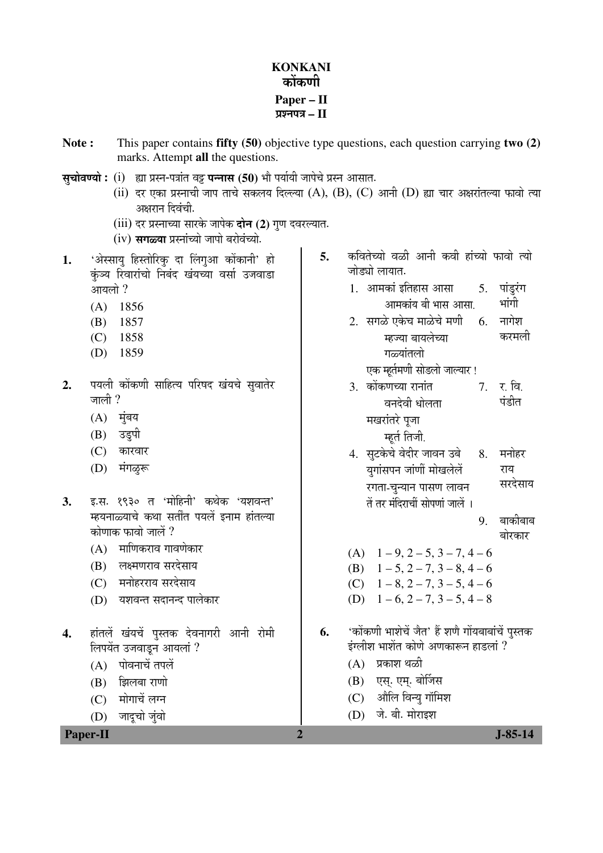## **KONKANI**  कोंकणी **Paper – II**  ¯ÖÏ¿®Ö¯Ö¡Ö **– II**

- **Note :** This paper contains **fifty (50)** objective type questions, each question carrying **two (2)** marks. Attempt **all** the questions.
- **सृचोवण्यो :** (i) ह्या प्रस्न-पत्रांत वट्ट पन्नास (50) भौ पर्यायी जापेचे प्रस्न आसात.
	- (ii) दर एका प्रस्नाची जाप ताचे सकलय दिल्ल्या (A), (B), (C) आनी (D) ह्या चार अक्षरांतल्या फावो त्या अक्षरान दिवंची.
	- (iii) दर प्रस्नाच्या सारके जापेक **दोन (2)** गण दवरल्यात.
	- (iv) सगळ्या प्रस्नांच्यो जापो बरोवंच्यो.
- 1. 'अेस्साय हिस्तोरिक दा लिंगुआ कोंकानी' हो कुञ्य रिवारांचो निबंद खंयच्या वर्सा उजवाडा आयलो ?
	- (A) 1856
	- (B) 1857
	- (C) 1858
	- (D) 1859
- 2. पयली कोंकणी साहित्य परिषद खंयचे सुवातेर जाली $?$ 
	- $(A)$  मंबय
	- (B) उड़पी
	- $(C)$  कारवार
	- (D) मंगळूरू
- **3.** इ.स. १९३० त 'मोहिनी' कथेक 'यशवन्त' म्हयनाळ्याचे कथा सतींत पयलें इनाम हांतल्या कोणाक फावो जालें ?
	- $(A)$  माणिकराव गावणेकार
	- (B) लक्ष्मणराव सरदेसाय
	- (C) मनोहरराय सरदेसाय
	- (D) यशवन्त सदानन्द पालेकार
- 4. हांतलें खंयचें पस्तक देवनागरी आनी रोमी लिपयेंत उजवाडन आयलां ?
	- $(A)$  पोवनाचें तपलें
	- $(B)$  झिलबा राणो
	- (C) मोगाचें लग्न
	- (D) जादूचो जुंवो
- 5. कवितेच्यो वळी आनी कवी हांच्यो फावो त्यो जोड्यो लायात.
	- 1. आमकां इतिहास आसा आमकांय बी भास आसा. 5. पांडूरंग भांगी
	- 2. सगळे एकेच माळेचे मणी म्हज्या बायलेच्या गळ्यांतलो  $6<sub>l</sub>$  नागेश करमली

एक म्हर्तमणी सोडलो जाल्यार !

- 3. कोंकणच्या रानांत वनदेवी धोलता मखरांतरे पूजा म्हर्त तिजी. 7. र बि. पंडीत
- 4. सुटकेचे वेदीर जावन उबे युगांसपन जांणीं मोखलेलें रगता-चन्यान पासण लावन तें तर मंदिराचीं सोपणां जालें । 8. मनोहर राय सरदेसाय
	- 9. बाकीबाब बोरकार
- (A)  $1 9$ ,  $2 5$ ,  $3 7$ ,  $4 6$
- (B)  $1 5$ ,  $2 7$ ,  $3 8$ ,  $4 6$
- (C)  $1 8$ ,  $2 7$ ,  $3 5$ ,  $4 6$
- (D)  $1 6$ ,  $2 7$ ,  $3 5$ ,  $4 8$
- 6. 'कोंकणी भाशेचें जैत' हैं शणे गोंयबाबांचें पुस्तक इंग्लीश भाशेंत कोणे अणकारून हाडलां ?
	- $(A)$  प्रकाश थळी
	- (B) एस्. एम्. बोर्जिस
	- $(C)$  औलि विन्य गॉमिश
	- (D) जे. बी. मोराइश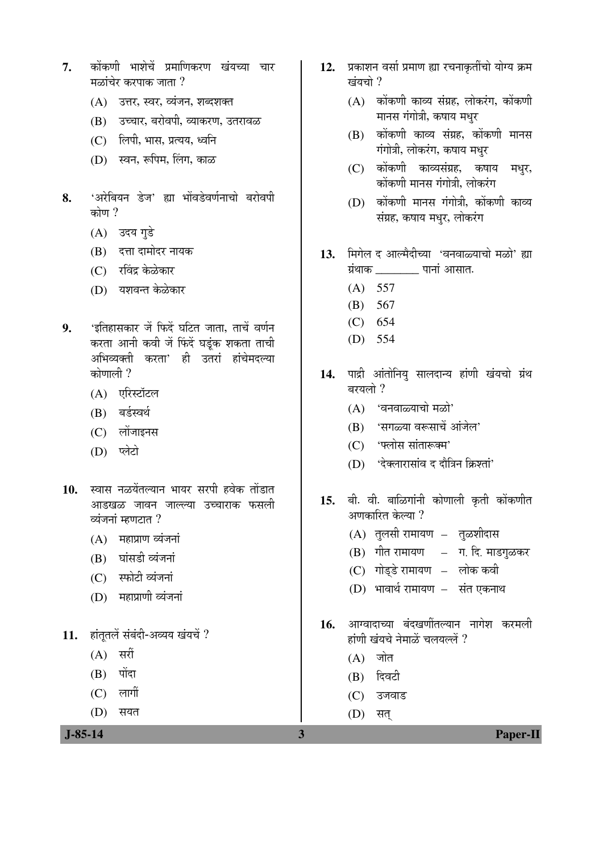- 7. कोंकणी भाशेचें प्रमाणिकरण खंयच्या चार मळांचेर करपाक जाता $\,$ ?
	- (A) उत्तर, स्वर, व्यंजन, शब्दशक्त
	- (B) उच्चार, बरोवपी, व्याकरण, उतरावळ
	- $(C)$   $\overline{6}$ लपी, भास, प्रत्यय, ध्वनि
	- (D) स्वन, रूपिम, लिंग, काळ
- 8. 'अरेबियन डेज' ह्या भोंवडेवर्णनाचो बरोवपी कोण ?
	- (A) उदय गुडे
	- (B) दत्ता दामोदर नायक
	- (C) रविंद्र केळेकार
	- (D) यशवन्त केळेकार
- 9. 'इतिहासकार जें फिदें घटित जाता. ताचें वर्णन करता आनी कवी जें फिंदें घडूंक शकता ताची अभिव्यक्ती करता' ही उतरां हांचेमदल्या कोणाली $\gamma$ 
	- (A) एरिस्टॉटल
	- (B) बर्डस्वर्थ
	- $(C)$  लोंजाइनस
	- (D) प्लेटो
- 10. स्वास नळयेंतल्यान भायर सरपी हवेक तोंडात आडखळ जावन जाल्ल्या उच्चाराक फसली व्यंजनां म्हणटात $?$ 
	- $(A)$  महाप्राण व्यंजनां
	- (B) घांसडी व्यंजनां
	- $(C)$  स्फोटी व्यंजनां
	- (D) महाप्राणी व्यंजनां
- 11. हांतूतलें संबंदी-अव्यय खंयचें ?
	- $(A)$  सरीं
	- $(B)$  पोंदा
	- $(C)$  लागीं
	- (D) सयत
- 12. प्रकाशन वर्सा प्रमाण ह्या रचनाकुतींचो योग्य क्रम खंयचो ?
	- $(A)$  कोंकणी काव्य संग्रह, लोकरंग, कोंकणी मानस गंगोत्री, कषाय मधुर
	- $(B)$  कोंकणी काव्य संग्रह, कोंकणी मानस गंगोत्री, लोकरंग, कषाय मधर
	- (C) कोंकणी काव्यसंग्रह, कषाय मधुर, कोंकणी मानस गंगोत्री, लोकरंग
	- $(D)$  कोंकणी मानस गंगोत्री, कोंकणी काव्य संग्रह, कषाय मधुर, लोकरंग
- 13. मिगेल द आल्मैदीच्या 'वनवाळ्याचो मळो' ह्या ÝÖÏÓ£ÖÖÛú \_\_\_\_\_\_\_ ¯ÖÖ®ÖÖÓ †ÖÃÖÖŸÖ.
	- $(A) 557$
	- (B) 567
	- (C) 654
	- (D) 554
- 14. पाद्री आंतोनिय सालदान्य हांणी खंयचो ग्रंथ बरयलो ?
	- $(A)$  'वनवाळ्याचो मळो'
	- (B) 'सगळ्या वरूसाचें आंजेल'
	- (C) 'फ्लोस सांतारूक्म'
	- $(D)$  'देक्लारासांव द दौत्रिन क्रिश्तां'
- 15. बी. वी. बाळिगांनी कोणाली कृती कोंकणीत अणकारित केल्या ?
	- (A) तुलसी रामायण तुळशीदास
	- $(B)$  गीत रामायण  $-$  ग. दि. माडगूळकर
	- (C) गोड्डे रामायण लोक कवी
	- (D) भावार्थ रामायण संत एकनाथ
- 1**6.** आग्वादाच्या बंदखणींतल्यान नागेश करमली हांणी खंयचे नेमाळें चलयल्लें ?
	- $(A)$  जोत
	- $(B)$  दिवटी
	- (C) उजवाड
	- (D) सत्
- **J-85-14 3 Paper-II**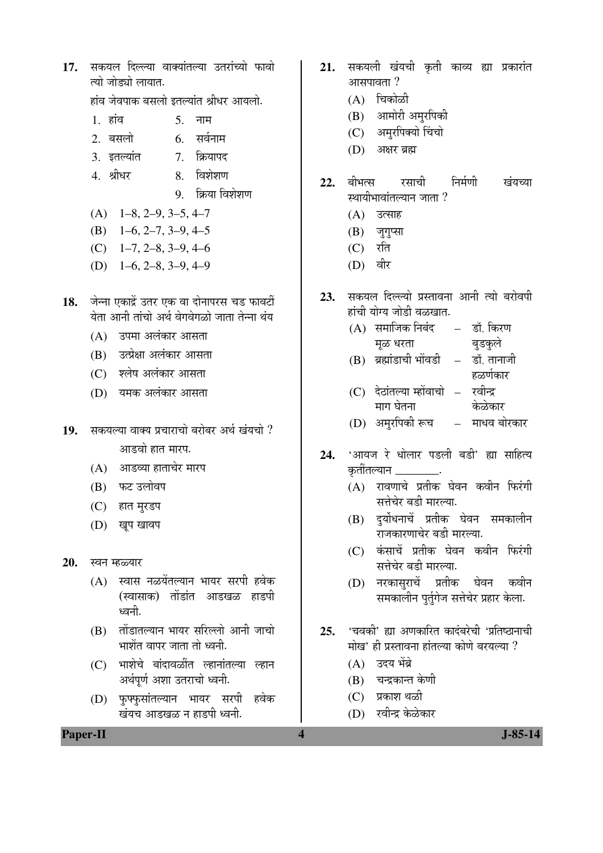17. सकयल दिल्ल्या वाक्यांतल्या उतरांच्यो फावो त्यो जोड्यो लायात.

हांव जेवपाक बसलो इतल्यांत श्रीधर आयलो.

- $1 \overline{5}$  हांव $5 \overline{5}$  नाम
- 2. बसलो 6. सर्वनाम
- 3. इतल्यांत 7. क्रियापद
- 4. श्रीधर 8. विशेशण
	- 9. क्रिया विशेशण
- (A) 1–8, 2–9, 3–5, 4–7
- (B) 1–6, 2–7, 3–9, 4–5
- (C) 1–7, 2–8, 3–9, 4–6
- (D) 1–6, 2–8, 3–9, 4–9
- 18. जेन्ना एकाद्रें उतर एक वा दोनापरस चड फावटीं येता आनी तांचो अर्थ वेगवेगळो जाता तेन्ना थंय
	- $(A)$  उपमा अलंकार आसता
	- (B) उत्प्रेक्षा अलंकार आसता
	- (C) श्लेष अलंकार आसता
	- (D) यमक अलंकार आसता
- 19. Hööde alast yalılar aldar *a*ld tarah ? आडवो हात मारप.
	- $(A)$  आडव्या हाताचेर मारप
	- (B) फट उलोवप
	- (C) हात मुरडप
	- (D) खूप खावप
- 20. स्वन म्हळ्यार
	- (A) स्वास नळयेंतल्यान भायर सरपी हवेक (स्वासाक) तोंडांत आडखळ हाडपी ध्वनी.
	- (B) तोंडातल्यान भायर सरिल्लो आनी जाचो भाशेंत वापर जाता तो ध्वनी.
	- (C) भाशेचे बांदावळींत ल्हानांतल्या ल्हान अर्थपूर्ण अशा उतराचो ध्वनी.
	- (D) फुफ्फुसांतल्यान भायर सरपी हवेक खंयच आडखळ न हाडपी ध्वनी.
- 21. सकयली खंयची कृती काव्य ह्या प्रकारांत  $3$  $\overline{a}$   $\overline{a}$   $\overline{a}$   $\overline{a}$   $\overline{a}$   $\overline{a}$   $\overline{a}$   $\overline{a}$   $\overline{a}$   $\overline{a}$   $\overline{a}$   $\overline{a}$   $\overline{a}$   $\overline{a}$   $\overline{a}$   $\overline{a}$   $\overline{a}$   $\overline{a}$   $\overline{a}$   $\overline{a}$   $\overline{a}$   $\overline{a}$   $\overline{a}$   $\overline{a}$   $\$ 
	- $(A)$  चिकोळी
	- (B) आमोरी अमृरपिकी
	- (C) अमरपिक्यो चिंचो
	- (D) अक्षर ब्रह्म
- 22. बीभत्स रसाची निर्मणी खंयच्या स्थायीभावांतल्यान जाता ?
	- (A) उत्साह
	- $(B)$  जुगुप्सा
	- $(C)$  रति
	- $(D)$  वीर
- 23. सकयल दिल्ल्यो प्रस्तावना आनी त्यो बरोवणी हांची योग्य जोडी वळखात.
	- $(A)$  समाजिक निबंद मूळ धरता – डॉ. किरण बुडकुले
	- $(B)$  ब्रह्मांडाची भोंवडी डॉ. तानाजी हळर्णकार
	- (C) देठांतल्या म्होंवाचो माग घेतना रवीन्द्र केळेकार
	- (D) अमृरपिकी रूच माधव बोरकार
- 24. 'आयज रे धोलार पडली बडी' ह्या साहित्य क्रतींतल्यान \_\_\_\_\_\_\_
	- $(A)$  रावणाचे प्रतीक घेवन कवीन फिरंगी सत्तेचेर बडी मारल्या.
	- (B) दुर्योधनाचें प्रतीक घेवन समकालीन राजकारणाचेर बडी मारल्या.
	- (C) कंसाचें प्रतीक घेवन कवीन फिरंगी सत्तेचेर बडी मारल्या.
	- (D) नरकासराचें प्रतीक घेवन कवीन समकालीन पुर्तुगेज सत्तेचेर प्रहार केला.
- 25. 'चवकी' ह्या अणकारित कादंबरेची 'प्रतिष्ठानाची .<br>मोख' ही प्रस्तावना हांतल्या कोणे बरयल्या ?
	- (A) उदय भेंब्रे
	- (B) चन्द्रकान्त केणी
	- (C) प्रकाश थळी
	- (D) रवीन्द्र केळेकार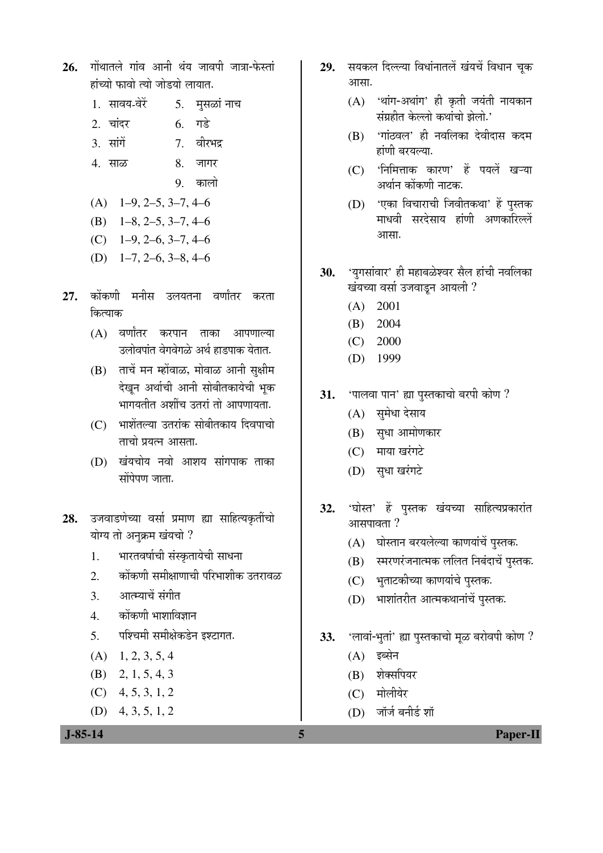- 26. गोंथातले गांव आनी थंय जावपी जात्रा-फेस्तां हांच्यो फावो त्यो जोडयो लायात.
	- 1. सावय-वेरें 5. मुसळां नाच
	- 2. चांदर 6. गडे
	- 3. ÃÖÖÓÝÖë 7. ¾Ö߸ü³Ö¦ü
	- 4. साळ 8. जागर
		- 9 कालो
	- $(A)$  1–9, 2–5, 3–7, 4–6
	- (B) 1–8, 2–5, 3–7, 4–6
	- $(C)$  1–9, 2–6, 3–7, 4–6
	- (D) 1–7, 2–6, 3–8, 4–6
- 27. कोंकणी मनीस उलयतना वर्णांतर करता कित्याक
	- $(A)$  वर्णांतर करपान ताका आपणाल्या उलोवपांत वेगवेगळे अर्थ हाडपाक येतात.
	- $(B)$  ताचें मन म्होंवाळ, मोवाळ आनी सुक्षीम देखन अर्थाची आनी सोबीतकायेची भुक भागयतीत अशींच उतरां तो आपणायता.
	- (C) भाशेंतल्या उतरांक सोबीतकाय दिवपाचो  $\overline{a}$ ाचो पयत्न आसता
	- (D) खंयचोय नवो आशय सांगपाक ताका  $\vec{a}$ Ödu $\vec{b}$  ənan
- **28.** उजवाडणेच्या वर्सा प्रमाण ह्या साहित्यकृतींचो योग्य तो अनुक्रम खंयचो ?
	- 1. भारतवर्षाची संस्कृतायेची साधना
	- 2. कोंकणी समीक्षाणाची परिभाशीक उतरावळ
	- 3. आत्म्याचें संगीत
	- 4. कोंकणी भाशाविज्ञान
	- 5. पश्चिमी समीक्षेकडेन इश्टागत.
	- $(A)$  1, 2, 3, 5, 4
	- (B) 2, 1, 5, 4, 3
	- $(C)$  4, 5, 3, 1, 2
	- (D) 4, 3, 5, 1, 2
- 29. सयकल दिल्ल्या विधांनातलें खंयचें विधान चुक आसा.
	- $(A)$  'थांग-अथांग' ही कृती जयंती नायकान संग्रहीत केल्लो कथांचो झेलो.'
	- (B) 'गांठवल' ही नवलिका देवीदास कदम हांणी बरयल्या.
	- (C) 'निमित्ताक कारण' हें पयलें खऱ्या अर्थान कोंकणी नाटक.
	- (D) 'एका विचाराची जिवीतकथा' हें पुस्तक माधवी सरदेसाय हांणी अणकारिल्लें आसा.
- 30. 'युगसांवार' ही महाबळेश्वर सैल हांची नवलिका खंयच्या वर्सा उजवाडून आयली ?
	- (A) 2001
	- (B) 2004
	- (C) 2000
	- (D) 1999
- 31. 'पालवा पान' ह्या पुस्तकाचो बरपी कोण ?
	- (A) सुमेधा देसाय
	- (B) सुधा आमोणकार
	- $(C)$  माया खरंगटे
	- (D) सुधा खरंगटे
- 32. 'घोस्त' हे पुस्तक खंयच्या साहित्यप्रकारांत  $3$  $\overline{a}$   $\overline{a}$   $\overline{a}$   $\overline{a}$   $\overline{a}$   $\overline{a}$   $\overline{a}$   $\overline{a}$   $\overline{a}$   $\overline{a}$   $\overline{a}$   $\overline{a}$   $\overline{a}$   $\overline{a}$   $\overline{a}$   $\overline{a}$   $\overline{a}$   $\overline{a}$   $\overline{a}$   $\overline{a}$   $\overline{a}$   $\overline{a}$   $\overline{a}$   $\overline{a}$   $\$ 
	- $(A)$  घोस्तान बरयलेल्या काणयांचें पुस्तक.
	- (B) स्मरणरंजनात्मक ललित निबंदाचें पुस्तक.
	- (C) भुताटकीच्या काणयांचे पुस्तक.
	- (D) भाशांतरीत आत्मकथानांचें पुस्तक.
- 33. 'लावां-भुतां' ह्या पुस्तकाचो मूळ बरोवपी कोण ?
	- $(A)$  इब्सेन
	- (B) शेक्सपियर
	- (C) मोलीयेर
	- $(D)$  जॉर्ज बनीर्ड शॉ

 **J-85-14 5 Paper-II**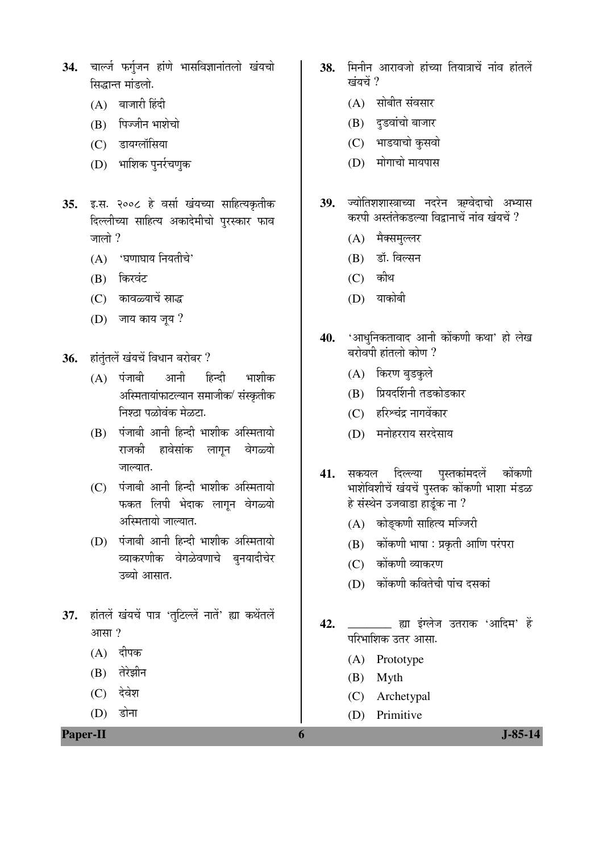- 34. चार्ल्ज फर्गुजन हांणे भासविज्ञानांतलो खंयचो सिद्धान्त मांडलो.
	- $(A)$  बाजारी हिंदी
	- $(B)$  पिज्जीन भाशेचो
	- (C) डायग्लॉसिया
	- (D) भाशिक पुनर्रचणुक
- **35.** इ.स. २००८ हे वर्सा खंयच्या साहित्यकृतीक दिल्लीच्या साहित्य अकादेमीचो पुरस्कार फाव जालो ?
	- $(A)$  'घणाघाय नियतीचे'
	- (B) किरवंट
	- (C) कावळ्याचें स्राद्ध
	- $(D)$  जाय काय जूय ?
- 36. हांतुंतलें खंयचें विधान बरोबर ?
	- $(A)$  पंजाबी आनी हिन्दी भाशीक अस्मितायांफाटल्यान समाजीक⁄ संस्कृतीक निश्ठा पळोवंक मेळटा.
	- $(B)$  पंजाबी आनी हिन्दी भाशीक अस्मितायो राजकी हावेसांक लागुन वेगळ्यो जाल्यात.
	- $(C)$  पंजाबी आनी हिन्दी भाशीक अस्मितायो फकत लिपी भेदाक लागून वेगळ्यो अस्मितायो जाल्यात.
	- $(D)$  पंजाबी आनी हिन्दी भाशीक अस्मितायो व्याकरणीक वेगळेवणाचे बुनयादीचेर उब्यो आसात.
- 37. हांतलें खंयचें पात्र 'तुटिल्लें नातें' ह्या कथेंतलें आसा $, 2$ 
	- $(A)$  दीपक
	- (B) तेरेझीन
	- (C) देवेश
	- $(D)$  डोना

**Paper-II 1-85-14** 

- 38. मिनीन आरावजो हांच्या तियात्राचें नांव हांतलें खंयचें ?
	- $(A)$  सोबीत संवसार
	- (B) दुडवांचो बाजार
	- (C) भाडयाचो कुसवो
	- $(D)$  मोगाचो मायपास
- 39. <del>ज्योतिशशास्त्राच्या नदरेन ऋग्</del>वेदाचो अभ्यास करपी अस्तंतेकडल्या विद्वानाचें नांव खंयचें ?
	- (A) मैक्समुल्लर
	- (B) डॉ. विल्सन
	- $(C)$  कीथ
	- $(D)$  याकोबी
- 40. 'आधुनिकतावाद आनी कोंकणी कथा' हो लेख बरोवपी हांतलो कोण ?
	- (A) किरण बड़कले
	- (B) प्रियदर्शिनी तडकोडकार
	- (C) हरिश्चंद्र नागवेंकार
	- (D) मनोहरराय सरदेसाय
- 41. सकयल दिल्ल्या पुस्तकांमदलें कोंकणी भाशेविशीचें खंयचें पुस्तक कोंकणी भाशा मंडळ हे संस्थेन उजवाडा हाडुंक ना ?
	- $(A)$  कोङ्कणी साहित्य मज्जिरी
	- $(B)$  कोंकणी भाषा : प्रकृती आणि परंपरा
	- $(C)$  कोंकणी व्याकरण
	- (D) कोंकणी कवितेची पांच दसकां
- **42.** \_\_\_\_\_\_\_\_ ह्या इंग्लेज उतराक 'आदिम' हें परिभाशिक उतर आसा.
	- (A) Prototype
	- (B) Myth
	- (C) Archetypal
	- (D) Primitive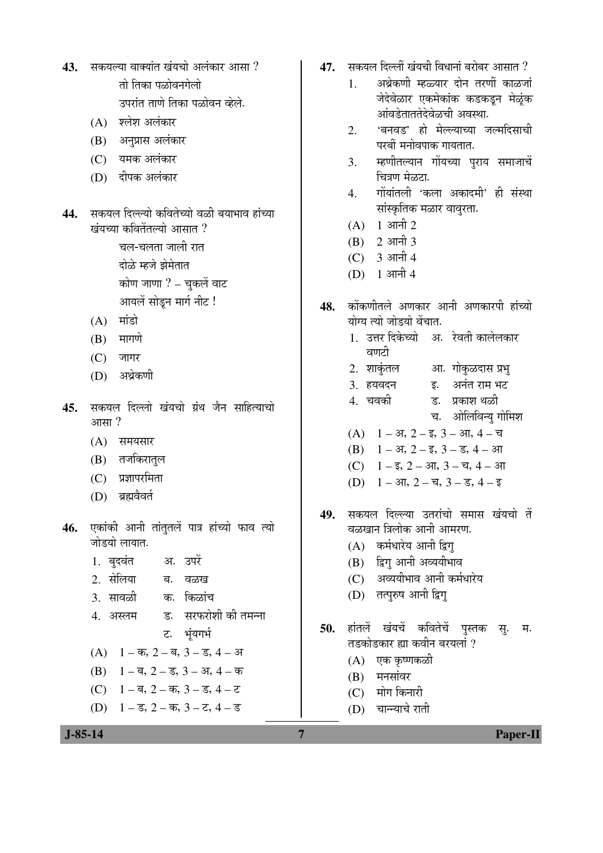- 43. सकयल्या वाक्यांत खंयचो अलंकार आसा ?  $\overline{d}$ ो तिका पळोवनगेलो उपरांत ताणे तिका पळोवन व्हेले.
	- $(A)$  श्लेश अलंकार
	- (B) अनुप्रास अलंकार
	- (C) यमक अलंकार
	- (D) दीपक अलंकार
- 44. सकयल दिल्ल्यो कवितेच्यो वळी बयाभाव हांच्या <u>खंयच्या कवितेंतल्यो आसात ?</u>
	- चल-चलता जाली रात दोळे म्हजे झेमेतात कोण जाणा  $?$  – चकलें वाट आयलें सोड़न मार्ग नीट !
	- $(A)$  मांडो
	- $(B)$  मागणे
	- $(C)$  जागर
	- (D) अथेकणी
- 45. सकयल दिल्लो खंयचो ग्रंथ जैन साहित्याचो  $3$ गासा $?$ 
	- $(A)$  समयसार
	- (B) तजकिरातृल
	- $(C)$  प्रज्ञापरमिता
	- (D) ब्रह्मवैवर्त
- **46.** एकांकी आनी तांतुतलें पात्र हांच्यो फाव त्यो जोडयो लायात.
	- 1. बुदवंत अ. उपरें
	- 2. सेलिया ब. वळख
	- 3. सावळी क. किळांच
	- 4. अस्लम ं ड. सरफरोशी की तमन्ना ट. भंयगर्भ
	- $(A)$  1 क, 2 ब, 3 ड, 4 अ
	- (B)  $1 \overline{a}$ ,  $2 \overline{c}$ ,  $3 3\overline{b}$ ,  $4 \overline{a}$
	- (C)  $1 \overline{a}$ ,  $2 \overline{a}$ ,  $3 \overline{a}$ ,  $4 \overline{c}$
	- (D)  $1 \overline{s}$ ,  $2 \overline{a}$ ,  $3 \overline{c}$ ,  $4 \overline{s}$
- 47. सकयल दिल्लीं खंयची विधानां बरोबर आसात ?
	- 1. । अथ्रेकणी म्हळ्यार दोन तरणीं काळजां जेदेवेळार एकमेकांक कडकडून मेळुंक आंवडेताततेदेवेळची अवस्था.
	- 2. 'बनवड' हो मेल्ल्याच्या जल्मदिसाची परबीं मनोवपाक गायतात.
	- 3. म्हणीतल्यान गोंयच्या पुराय समाजाचें चित्रण मेळटा.
	- 4. गोंयांतली 'कला अकादमी' ही संस्था सांस्कृतिक मळार वावरता.
	- $(A)$  1 आनी 2
	- $(B)$  2 आनी 3
	- $(C)$  3 आनी 4
	- $(D)$  1 आनी 4
- 48. कोंकणीतले अणकार आनी अणकारपी हांच्यो योग्य त्यो जोडयो वेंचात.
	- 1. उत्तर दिकेच्यो अ. रेवती कालेलकार वणटी
	- 2. शाकुंतल आ. गोकुळदास प्रभु 3. हयवदन <u>ह. अनंत राम भट</u>
	- 4. "Ö¾ÖÛúß ݟ. ¯ÖÏÛúÖ¿Ö £Öôûß
		- च. ओलिविन्यू गोमिश
	- (A)  $1 3$ ,  $2 \overline{5}$ ,  $3 3$ ,  $4 \overline{5}$
	- (B)  $1 3i$ ,  $2 5i$ ,  $3 5i$ ,  $4 3i$
	- (C)  $1 \overline{\xi}$ ,  $2 3\overline{\eta}$ ,  $3 \overline{\eta}$ ,  $4 3\overline{\eta}$
	- (D)  $1 3\pi$ ,  $2 \overline{4}$ ,  $3 \overline{5}$ ,  $4 \overline{5}$
- 49. सकयल दिल्ल्या उतरांचो समास खंयचो तें वळखान त्रिलोक आनी आमरण.
	- (A) कर्मधारेय आनी द्विग्
	- (B) द्विग् आनी अव्ययीभाव
	- (C) अव्ययीभाव आनी कर्मधारेय
	- (D) तत्पुरुष आनी द्विग
- 50. हांतलें खंयचें कवितेचें पुस्तक सु. म. तडकोडकार ह्या कवीन बरयलां ?
	- $(A)$  एक कृष्णकळी
	- $(B)$  मनसांवर
	- (C) मोग किनारी
	- $(D)$  घान्याचे राती

 **J-85-14 7 Paper-II**